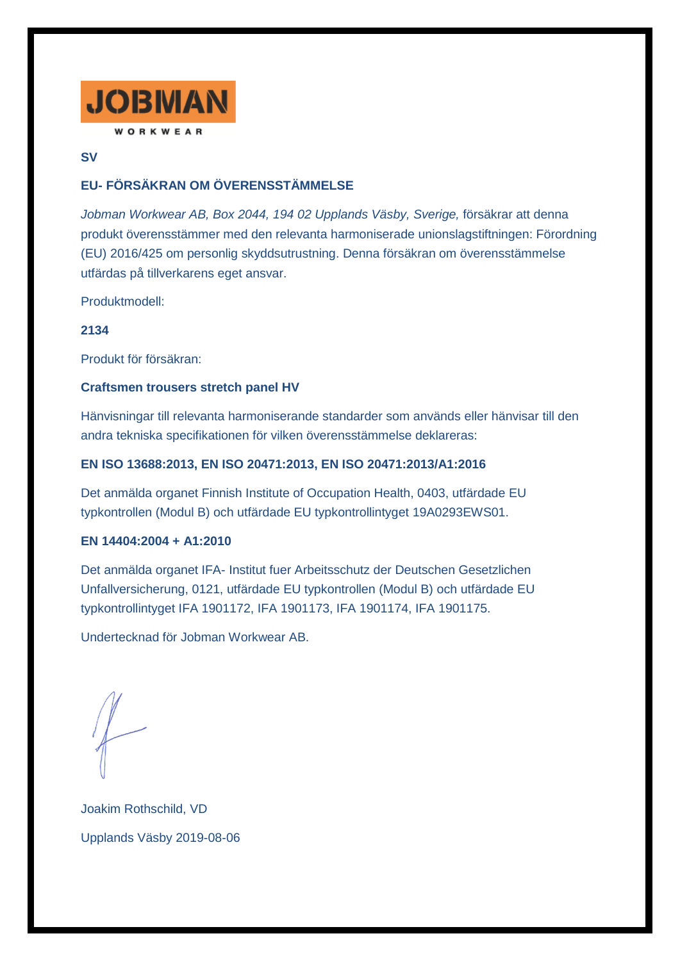

## **SV**

# **EU- FÖRSÄKRAN OM ÖVERENSSTÄMMELSE**

*Jobman Workwear AB, Box 2044, 194 02 Upplands Väsby, Sverige,* försäkrar att denna produkt överensstämmer med den relevanta harmoniserade unionslagstiftningen: Förordning (EU) 2016/425 om personlig skyddsutrustning. Denna försäkran om överensstämmelse utfärdas på tillverkarens eget ansvar.

Produktmodell:

## **2134**

Produkt för försäkran:

### **Craftsmen trousers stretch panel HV**

Hänvisningar till relevanta harmoniserande standarder som används eller hänvisar till den andra tekniska specifikationen för vilken överensstämmelse deklareras:

## **EN ISO 13688:2013, EN ISO 20471:2013, EN ISO 20471:2013/A1:2016**

Det anmälda organet Finnish Institute of Occupation Health, 0403, utfärdade EU typkontrollen (Modul B) och utfärdade EU typkontrollintyget 19A0293EWS01.

### **EN 14404:2004 + A1:2010**

Det anmälda organet IFA- Institut fuer Arbeitsschutz der Deutschen Gesetzlichen Unfallversicherung, 0121, utfärdade EU typkontrollen (Modul B) och utfärdade EU typkontrollintyget IFA 1901172, IFA 1901173, IFA 1901174, IFA 1901175.

Undertecknad för Jobman Workwear AB.

Joakim Rothschild, VD Upplands Väsby 2019-08-06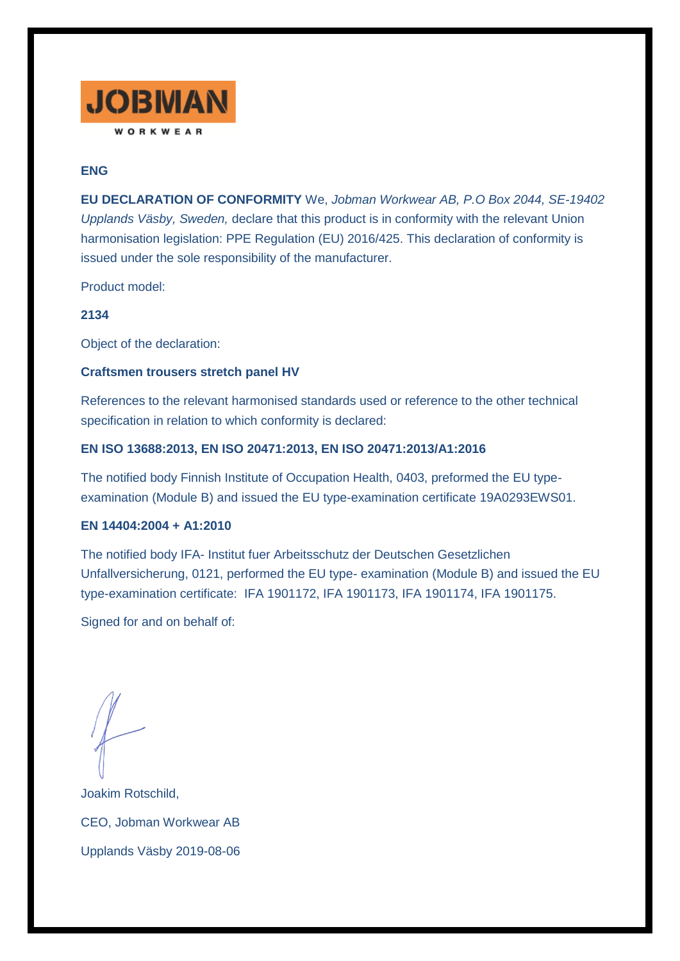

# **ENG**

**EU DECLARATION OF CONFORMITY** We, *Jobman Workwear AB, P.O Box 2044, SE-19402 Upplands Väsby, Sweden,* declare that this product is in conformity with the relevant Union harmonisation legislation: PPE Regulation (EU) 2016/425. This declaration of conformity is issued under the sole responsibility of the manufacturer.

Product model:

### **2134**

Object of the declaration:

### **Craftsmen trousers stretch panel HV**

References to the relevant harmonised standards used or reference to the other technical specification in relation to which conformity is declared:

### **EN ISO 13688:2013, EN ISO 20471:2013, EN ISO 20471:2013/A1:2016**

The notified body Finnish Institute of Occupation Health, 0403, preformed the EU typeexamination (Module B) and issued the EU type-examination certificate 19A0293EWS01.

#### **EN 14404:2004 + A1:2010**

The notified body IFA- Institut fuer Arbeitsschutz der Deutschen Gesetzlichen Unfallversicherung, 0121, performed the EU type- examination (Module B) and issued the EU type-examination certificate: IFA 1901172, IFA 1901173, IFA 1901174, IFA 1901175.

Signed for and on behalf of:

Joakim Rotschild, CEO, Jobman Workwear AB Upplands Väsby 2019-08-06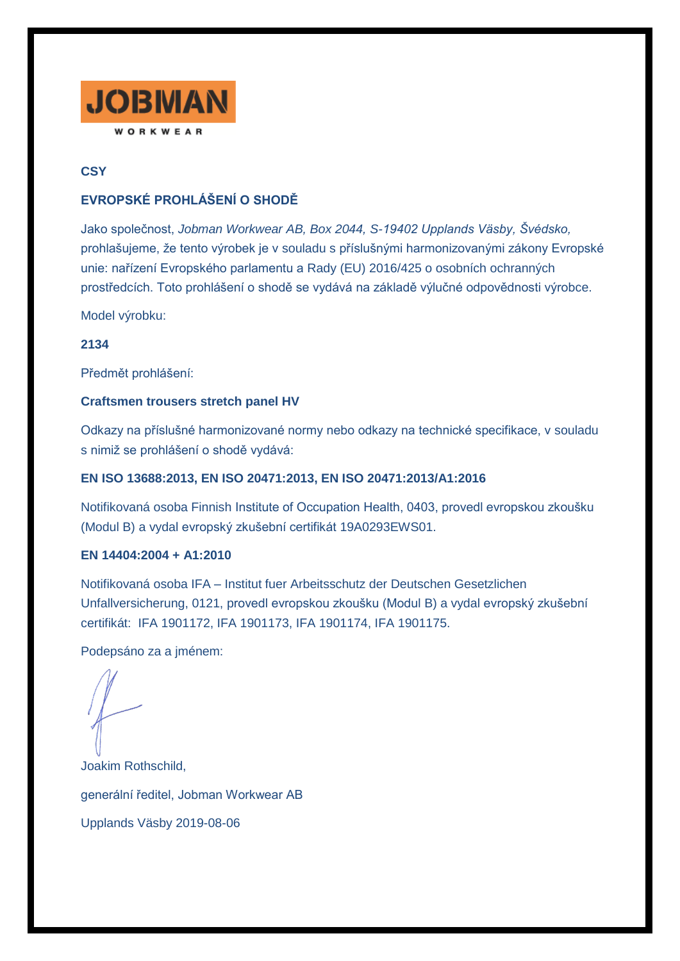

# **CSY**

# **EVROPSKÉ PROHLÁŠENÍ O SHODĚ**

Jako společnost, *Jobman Workwear AB, Box 2044, S-19402 Upplands Väsby, Švédsko,* prohlašujeme, že tento výrobek je v souladu s příslušnými harmonizovanými zákony Evropské unie: nařízení Evropského parlamentu a Rady (EU) 2016/425 o osobních ochranných prostředcích. Toto prohlášení o shodě se vydává na základě výlučné odpovědnosti výrobce.

Model výrobku:

**2134**

Předmět prohlášení:

## **Craftsmen trousers stretch panel HV**

Odkazy na příslušné harmonizované normy nebo odkazy na technické specifikace, v souladu s nimiž se prohlášení o shodě vydává:

## **EN ISO 13688:2013, EN ISO 20471:2013, EN ISO 20471:2013/A1:2016**

Notifikovaná osoba Finnish Institute of Occupation Health, 0403, provedl evropskou zkoušku (Modul B) a vydal evropský zkušební certifikát 19A0293EWS01.

## **EN 14404:2004 + A1:2010**

Notifikovaná osoba IFA – Institut fuer Arbeitsschutz der Deutschen Gesetzlichen Unfallversicherung, 0121, provedl evropskou zkoušku (Modul B) a vydal evropský zkušební certifikát: IFA 1901172, IFA 1901173, IFA 1901174, IFA 1901175.

Podepsáno za a jménem:

Joakim Rothschild, generální ředitel, Jobman Workwear AB Upplands Väsby 2019-08-06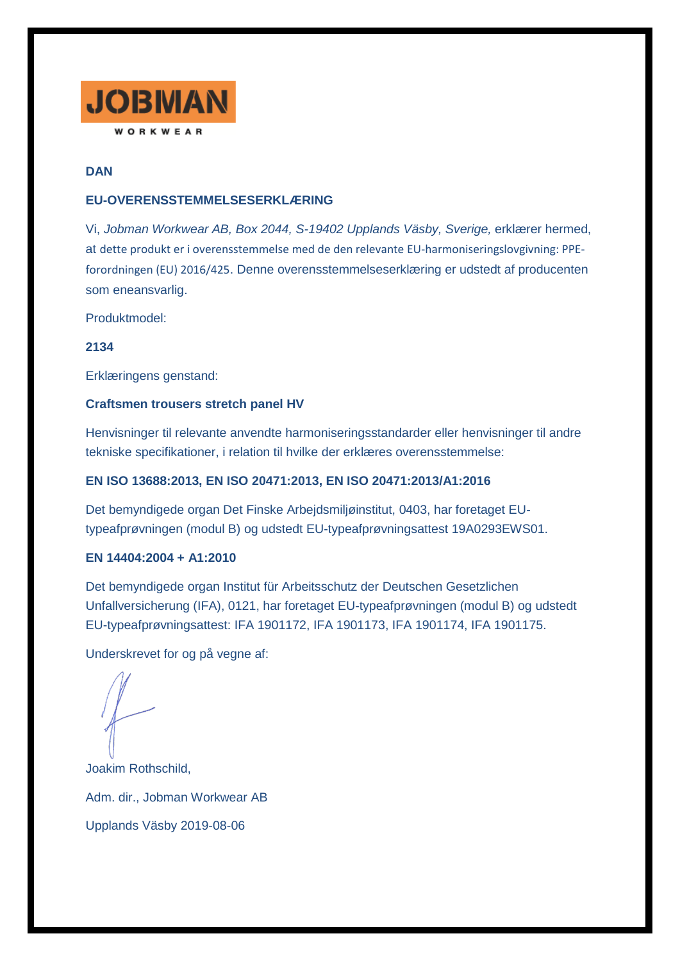

## **DAN**

## **EU-OVERENSSTEMMELSESERKLÆRING**

Vi, *Jobman Workwear AB, Box 2044, S-19402 Upplands Väsby, Sverige,* erklærer hermed, at dette produkt er i overensstemmelse med de den relevante EU-harmoniseringslovgivning: PPEforordningen (EU) 2016/425. Denne overensstemmelseserklæring er udstedt af producenten som eneansvarlig.

Produktmodel:

**2134**

Erklæringens genstand:

### **Craftsmen trousers stretch panel HV**

Henvisninger til relevante anvendte harmoniseringsstandarder eller henvisninger til andre tekniske specifikationer, i relation til hvilke der erklæres overensstemmelse:

## **EN ISO 13688:2013, EN ISO 20471:2013, EN ISO 20471:2013/A1:2016**

Det bemyndigede organ Det Finske Arbejdsmiljøinstitut, 0403, har foretaget EUtypeafprøvningen (modul B) og udstedt EU-typeafprøvningsattest 19A0293EWS01.

### **EN 14404:2004 + A1:2010**

Det bemyndigede organ Institut für Arbeitsschutz der Deutschen Gesetzlichen Unfallversicherung (IFA), 0121, har foretaget EU-typeafprøvningen (modul B) og udstedt EU-typeafprøvningsattest: IFA 1901172, IFA 1901173, IFA 1901174, IFA 1901175.

Underskrevet for og på vegne af:

Joakim Rothschild, Adm. dir., Jobman Workwear AB Upplands Väsby 2019-08-06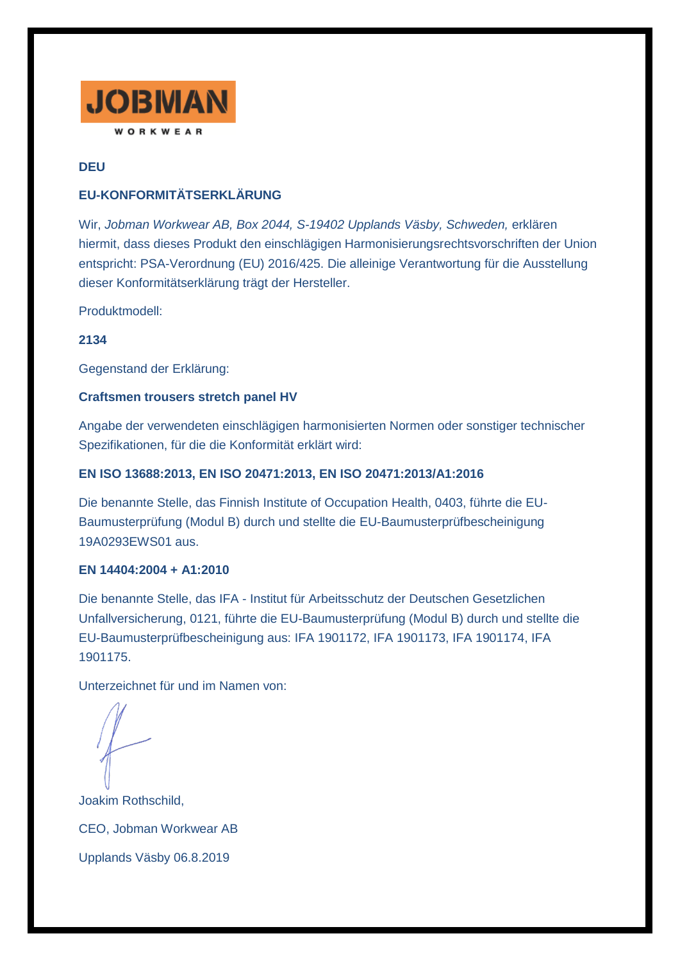

# **DEU**

# **EU-KONFORMITÄTSERKLÄRUNG**

Wir, *Jobman Workwear AB, Box 2044, S-19402 Upplands Väsby, Schweden,* erklären hiermit, dass dieses Produkt den einschlägigen Harmonisierungsrechtsvorschriften der Union entspricht: PSA-Verordnung (EU) 2016/425. Die alleinige Verantwortung für die Ausstellung dieser Konformitätserklärung trägt der Hersteller.

Produktmodell:

**2134**

Gegenstand der Erklärung:

## **Craftsmen trousers stretch panel HV**

Angabe der verwendeten einschlägigen harmonisierten Normen oder sonstiger technischer Spezifikationen, für die die Konformität erklärt wird:

## **EN ISO 13688:2013, EN ISO 20471:2013, EN ISO 20471:2013/A1:2016**

Die benannte Stelle, das Finnish Institute of Occupation Health, 0403, führte die EU-Baumusterprüfung (Modul B) durch und stellte die EU-Baumusterprüfbescheinigung 19A0293EWS01 aus.

## **EN 14404:2004 + A1:2010**

Die benannte Stelle, das IFA - Institut für Arbeitsschutz der Deutschen Gesetzlichen Unfallversicherung, 0121, führte die EU-Baumusterprüfung (Modul B) durch und stellte die EU-Baumusterprüfbescheinigung aus: IFA 1901172, IFA 1901173, IFA 1901174, IFA 1901175.

Unterzeichnet für und im Namen von:

Joakim Rothschild, CEO, Jobman Workwear AB Upplands Väsby 06.8.2019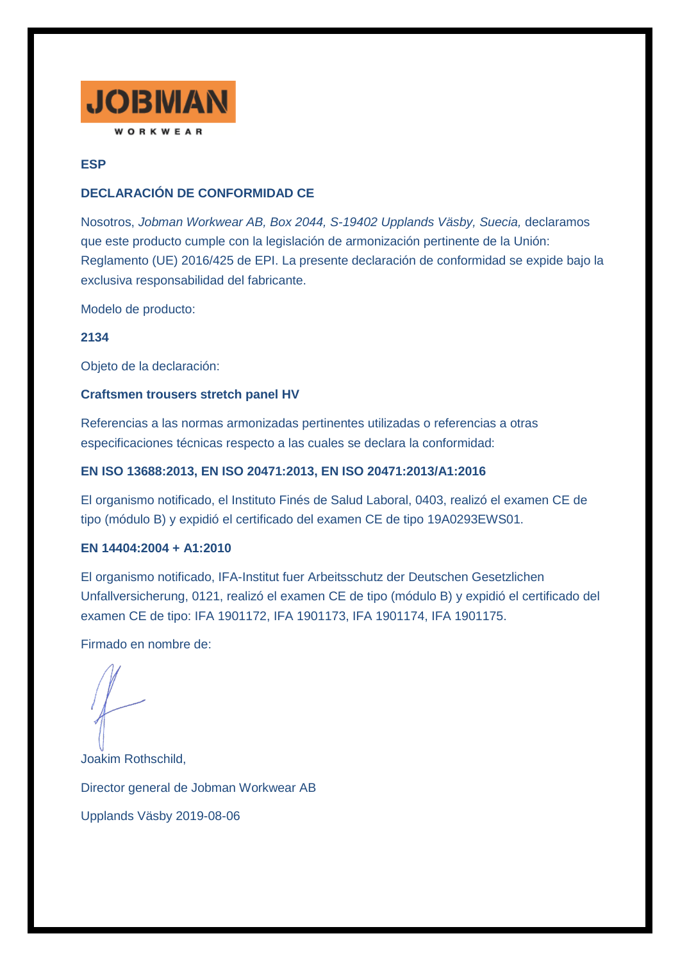

## **ESP**

## **DECLARACIÓN DE CONFORMIDAD CE**

Nosotros, *Jobman Workwear AB, Box 2044, S-19402 Upplands Väsby, Suecia,* declaramos que este producto cumple con la legislación de armonización pertinente de la Unión: Reglamento (UE) 2016/425 de EPI. La presente declaración de conformidad se expide bajo la exclusiva responsabilidad del fabricante.

Modelo de producto:

**2134**

Objeto de la declaración:

## **Craftsmen trousers stretch panel HV**

Referencias a las normas armonizadas pertinentes utilizadas o referencias a otras especificaciones técnicas respecto a las cuales se declara la conformidad:

## **EN ISO 13688:2013, EN ISO 20471:2013, EN ISO 20471:2013/A1:2016**

El organismo notificado, el Instituto Finés de Salud Laboral, 0403, realizó el examen CE de tipo (módulo B) y expidió el certificado del examen CE de tipo 19A0293EWS01.

## **EN 14404:2004 + A1:2010**

El organismo notificado, IFA-Institut fuer Arbeitsschutz der Deutschen Gesetzlichen Unfallversicherung, 0121, realizó el examen CE de tipo (módulo B) y expidió el certificado del examen CE de tipo: IFA 1901172, IFA 1901173, IFA 1901174, IFA 1901175.

Firmado en nombre de:

Joakim Rothschild, Director general de Jobman Workwear AB Upplands Väsby 2019-08-06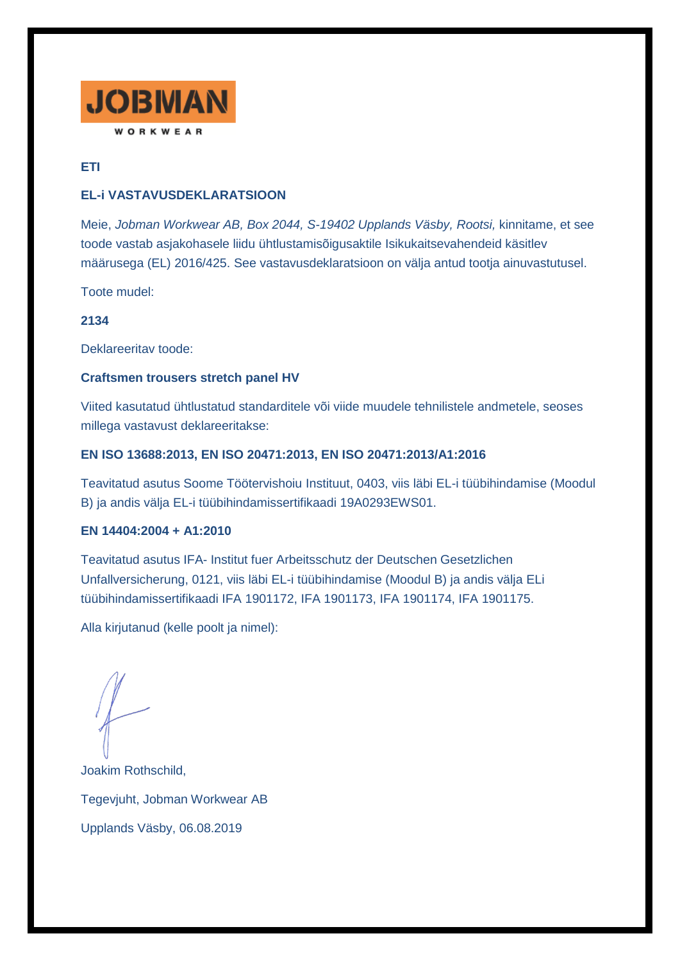

# **ETI**

# **EL-i VASTAVUSDEKLARATSIOON**

Meie, *Jobman Workwear AB, Box 2044, S-19402 Upplands Väsby, Rootsi,* kinnitame, et see toode vastab asjakohasele liidu ühtlustamisõigusaktile Isikukaitsevahendeid käsitlev määrusega (EL) 2016/425. See vastavusdeklaratsioon on välja antud tootja ainuvastutusel.

Toote mudel:

## **2134**

Deklareeritav toode:

## **Craftsmen trousers stretch panel HV**

Viited kasutatud ühtlustatud standarditele või viide muudele tehnilistele andmetele, seoses millega vastavust deklareeritakse:

## **EN ISO 13688:2013, EN ISO 20471:2013, EN ISO 20471:2013/A1:2016**

Teavitatud asutus Soome Töötervishoiu Instituut, 0403, viis läbi EL-i tüübihindamise (Moodul B) ja andis välja EL-i tüübihindamissertifikaadi 19A0293EWS01.

## **EN 14404:2004 + A1:2010**

Teavitatud asutus IFA- Institut fuer Arbeitsschutz der Deutschen Gesetzlichen Unfallversicherung, 0121, viis läbi EL-i tüübihindamise (Moodul B) ja andis välja ELi tüübihindamissertifikaadi IFA 1901172, IFA 1901173, IFA 1901174, IFA 1901175.

Alla kirjutanud (kelle poolt ja nimel):

Joakim Rothschild, Tegevjuht, Jobman Workwear AB Upplands Väsby, 06.08.2019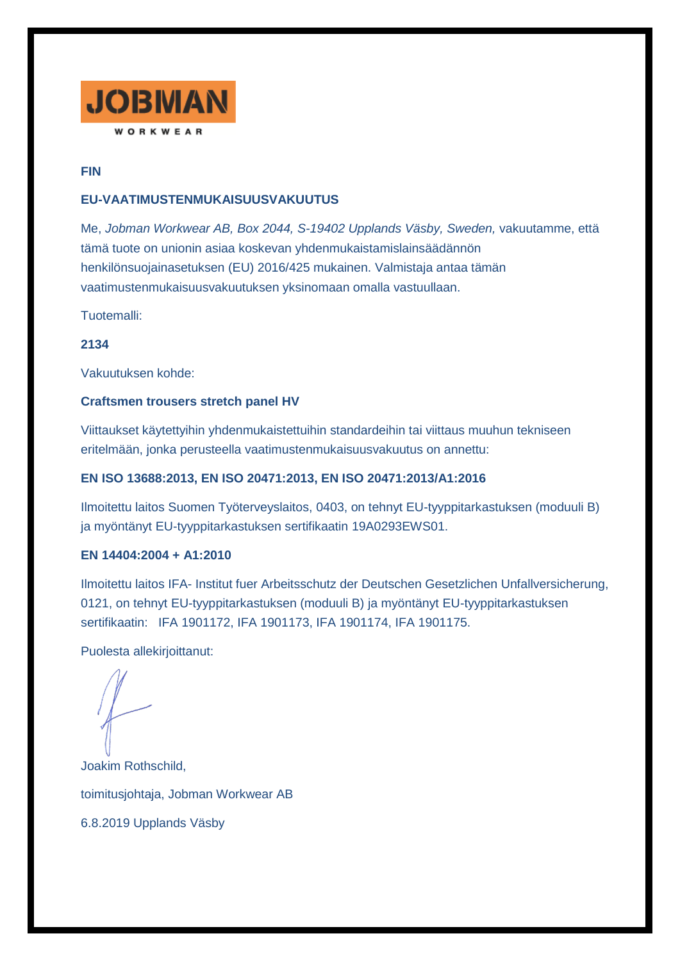

## **FIN**

## **EU-VAATIMUSTENMUKAISUUSVAKUUTUS**

Me, *Jobman Workwear AB, Box 2044, S-19402 Upplands Väsby, Sweden,* vakuutamme, että tämä tuote on unionin asiaa koskevan yhdenmukaistamislainsäädännön henkilönsuojainasetuksen (EU) 2016/425 mukainen. Valmistaja antaa tämän vaatimustenmukaisuusvakuutuksen yksinomaan omalla vastuullaan.

Tuotemalli:

**2134**

Vakuutuksen kohde:

## **Craftsmen trousers stretch panel HV**

Viittaukset käytettyihin yhdenmukaistettuihin standardeihin tai viittaus muuhun tekniseen eritelmään, jonka perusteella vaatimustenmukaisuusvakuutus on annettu:

## **EN ISO 13688:2013, EN ISO 20471:2013, EN ISO 20471:2013/A1:2016**

Ilmoitettu laitos Suomen Työterveyslaitos, 0403, on tehnyt EU-tyyppitarkastuksen (moduuli B) ja myöntänyt EU-tyyppitarkastuksen sertifikaatin 19A0293EWS01.

### **EN 14404:2004 + A1:2010**

Ilmoitettu laitos IFA- Institut fuer Arbeitsschutz der Deutschen Gesetzlichen Unfallversicherung, 0121, on tehnyt EU-tyyppitarkastuksen (moduuli B) ja myöntänyt EU-tyyppitarkastuksen sertifikaatin: IFA 1901172, IFA 1901173, IFA 1901174, IFA 1901175.

Puolesta allekirjoittanut:

Joakim Rothschild, toimitusjohtaja, Jobman Workwear AB 6.8.2019 Upplands Väsby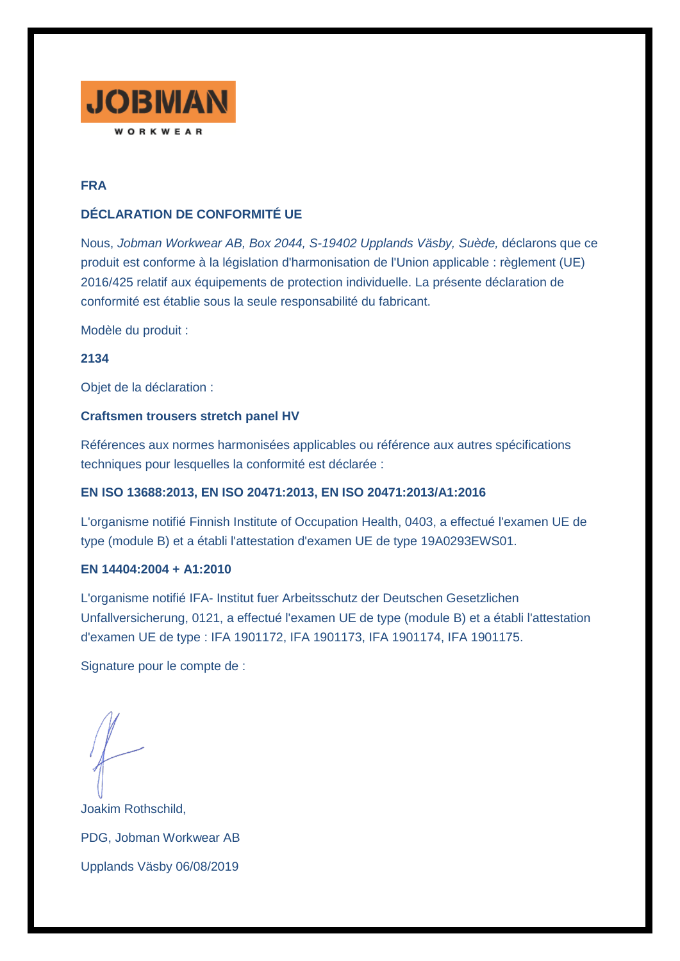

# **FRA**

# **DÉCLARATION DE CONFORMITÉ UE**

Nous, *Jobman Workwear AB, Box 2044, S-19402 Upplands Väsby, Suède,* déclarons que ce produit est conforme à la législation d'harmonisation de l'Union applicable : règlement (UE) 2016/425 relatif aux équipements de protection individuelle. La présente déclaration de conformité est établie sous la seule responsabilité du fabricant.

Modèle du produit :

**2134**

Objet de la déclaration :

## **Craftsmen trousers stretch panel HV**

Références aux normes harmonisées applicables ou référence aux autres spécifications techniques pour lesquelles la conformité est déclarée :

## **EN ISO 13688:2013, EN ISO 20471:2013, EN ISO 20471:2013/A1:2016**

L'organisme notifié Finnish Institute of Occupation Health, 0403, a effectué l'examen UE de type (module B) et a établi l'attestation d'examen UE de type 19A0293EWS01.

## **EN 14404:2004 + A1:2010**

L'organisme notifié IFA- Institut fuer Arbeitsschutz der Deutschen Gesetzlichen Unfallversicherung, 0121, a effectué l'examen UE de type (module B) et a établi l'attestation d'examen UE de type : IFA 1901172, IFA 1901173, IFA 1901174, IFA 1901175.

Signature pour le compte de :

Joakim Rothschild, PDG, Jobman Workwear AB Upplands Väsby 06/08/2019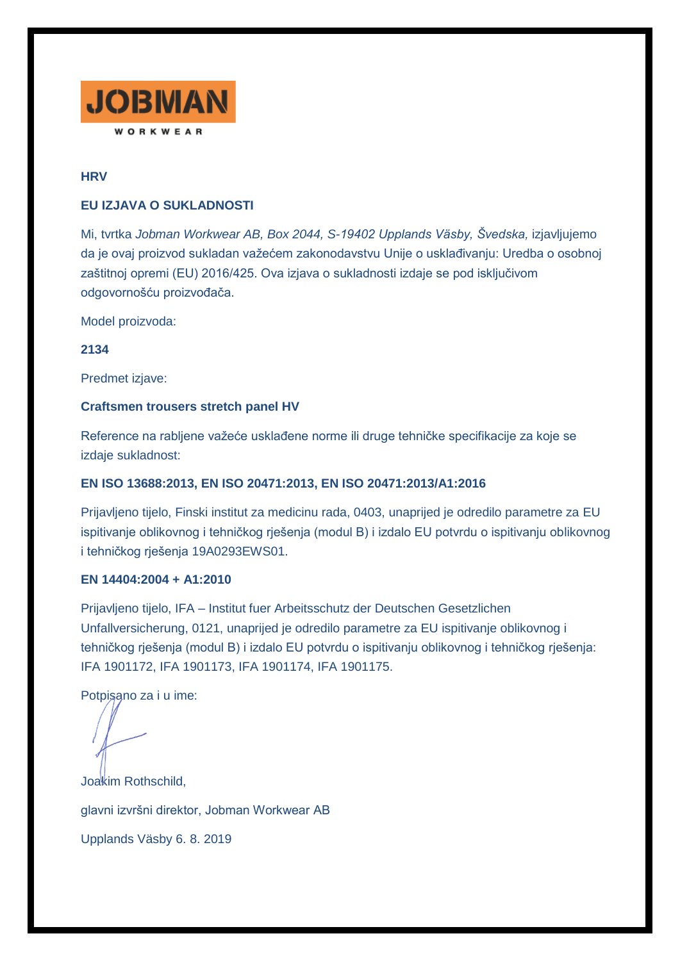

## **HRV**

### **EU IZJAVA O SUKLADNOSTI**

Mi, tvrtka *Jobman Workwear AB, Box 2044, S-19402 Upplands Väsby, Švedska,* izjavljujemo da je ovaj proizvod sukladan važećem zakonodavstvu Unije o usklađivanju: Uredba o osobnoj zaštitnoj opremi (EU) 2016/425. Ova izjava o sukladnosti izdaje se pod isključivom odgovornošću proizvođača.

Model proizvoda:

**2134**

Predmet izjave:

### **Craftsmen trousers stretch panel HV**

Reference na rabljene važeće usklađene norme ili druge tehničke specifikacije za koje se izdaje sukladnost:

## **EN ISO 13688:2013, EN ISO 20471:2013, EN ISO 20471:2013/A1:2016**

Prijavljeno tijelo, Finski institut za medicinu rada, 0403, unaprijed je odredilo parametre za EU ispitivanje oblikovnog i tehničkog rješenja (modul B) i izdalo EU potvrdu o ispitivanju oblikovnog i tehničkog rješenja 19A0293EWS01.

#### **EN 14404:2004 + A1:2010**

Prijavljeno tijelo, IFA – Institut fuer Arbeitsschutz der Deutschen Gesetzlichen Unfallversicherung, 0121, unaprijed je odredilo parametre za EU ispitivanje oblikovnog i tehničkog rješenja (modul B) i izdalo EU potvrdu o ispitivanju oblikovnog i tehničkog rješenja: IFA 1901172, IFA 1901173, IFA 1901174, IFA 1901175.

Potpisano za i u ime:

Joakim Rothschild, glavni izvršni direktor, Jobman Workwear AB Upplands Väsby 6. 8. 2019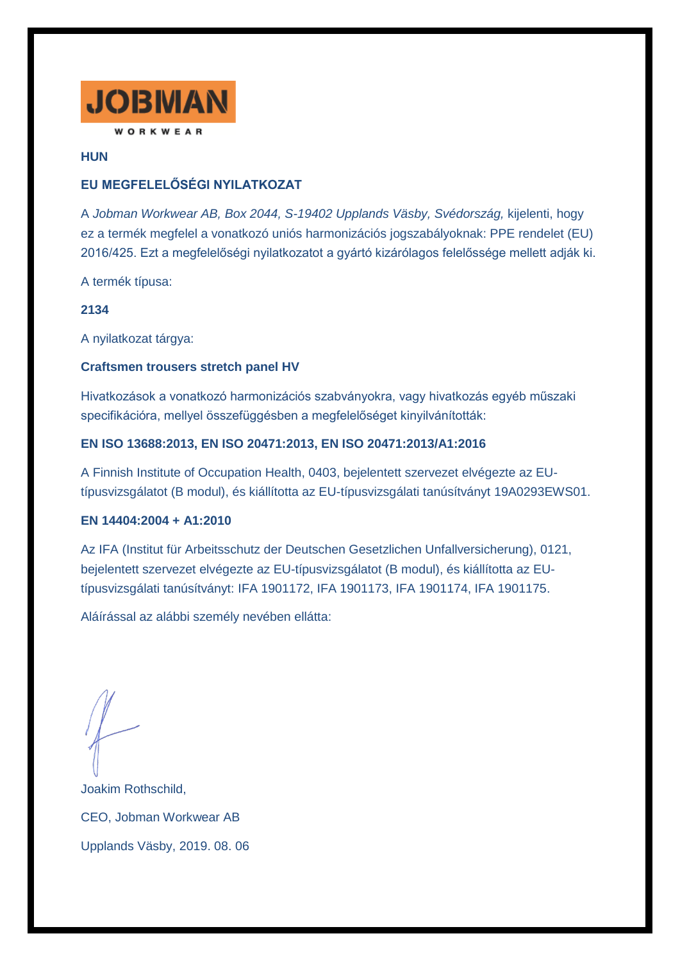

**HUN**

# **EU MEGFELELŐSÉGI NYILATKOZAT**

A *Jobman Workwear AB, Box 2044, S-19402 Upplands Väsby, Svédország,* kijelenti, hogy ez a termék megfelel a vonatkozó uniós harmonizációs jogszabályoknak: PPE rendelet (EU) 2016/425. Ezt a megfelelőségi nyilatkozatot a gyártó kizárólagos felelőssége mellett adják ki.

A termék típusa:

**2134**

A nyilatkozat tárgya:

## **Craftsmen trousers stretch panel HV**

Hivatkozások a vonatkozó harmonizációs szabványokra, vagy hivatkozás egyéb műszaki specifikációra, mellyel összefüggésben a megfelelőséget kinyilvánították:

## **EN ISO 13688:2013, EN ISO 20471:2013, EN ISO 20471:2013/A1:2016**

A Finnish Institute of Occupation Health, 0403, bejelentett szervezet elvégezte az EUtípusvizsgálatot (B modul), és kiállította az EU-típusvizsgálati tanúsítványt 19A0293EWS01.

## **EN 14404:2004 + A1:2010**

Az IFA (Institut für Arbeitsschutz der Deutschen Gesetzlichen Unfallversicherung), 0121, bejelentett szervezet elvégezte az EU-típusvizsgálatot (B modul), és kiállította az EUtípusvizsgálati tanúsítványt: IFA 1901172, IFA 1901173, IFA 1901174, IFA 1901175.

Aláírással az alábbi személy nevében ellátta:

Joakim Rothschild, CEO, Jobman Workwear AB Upplands Väsby, 2019. 08. 06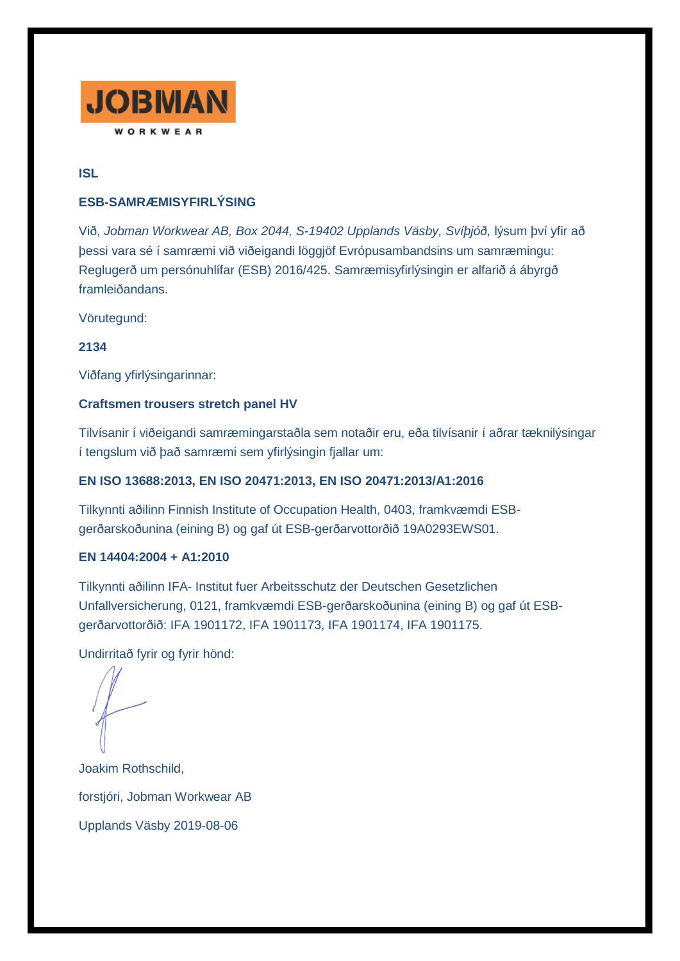

**ISL**

## **ESB-SAMRÆMISYFIRLÝSING**

Við, *Jobman Workwear AB, Box 2044, S-19402 Upplands Väsby, Svíþjóð,* lýsum því yfir að þessi vara sé í samræmi við viðeigandi löggjöf Evrópusambandsins um samræmingu: Reglugerð um persónuhlífar (ESB) 2016/425. Samræmisyfirlýsingin er alfarið á ábyrgð framleiðandans.

Vörutegund:

**2134**

Viðfang yfirlýsingarinnar:

## **Craftsmen trousers stretch panel HV**

Tilvísanir í viðeigandi samræmingarstaðla sem notaðir eru, eða tilvísanir í aðrar tæknilýsingar í tengslum við það samræmi sem yfirlýsingin fjallar um:

# **EN ISO 13688:2013, EN ISO 20471:2013, EN ISO 20471:2013/A1:2016**

Tilkynnti aðilinn Finnish Institute of Occupation Health, 0403, framkvæmdi ESBgerðarskoðunina (eining B) og gaf út ESB-gerðarvottorðið 19A0293EWS01.

## **EN 14404:2004 + A1:2010**

Tilkynnti aðilinn IFA- Institut fuer Arbeitsschutz der Deutschen Gesetzlichen Unfallversicherung, 0121, framkvæmdi ESB-gerðarskoðunina (eining B) og gaf út ESBgerðarvottorðið: IFA 1901172, IFA 1901173, IFA 1901174, IFA 1901175.

Undirritað fyrir og fyrir hönd:

Joakim Rothschild, forstjóri, Jobman Workwear AB Upplands Väsby 2019-08-06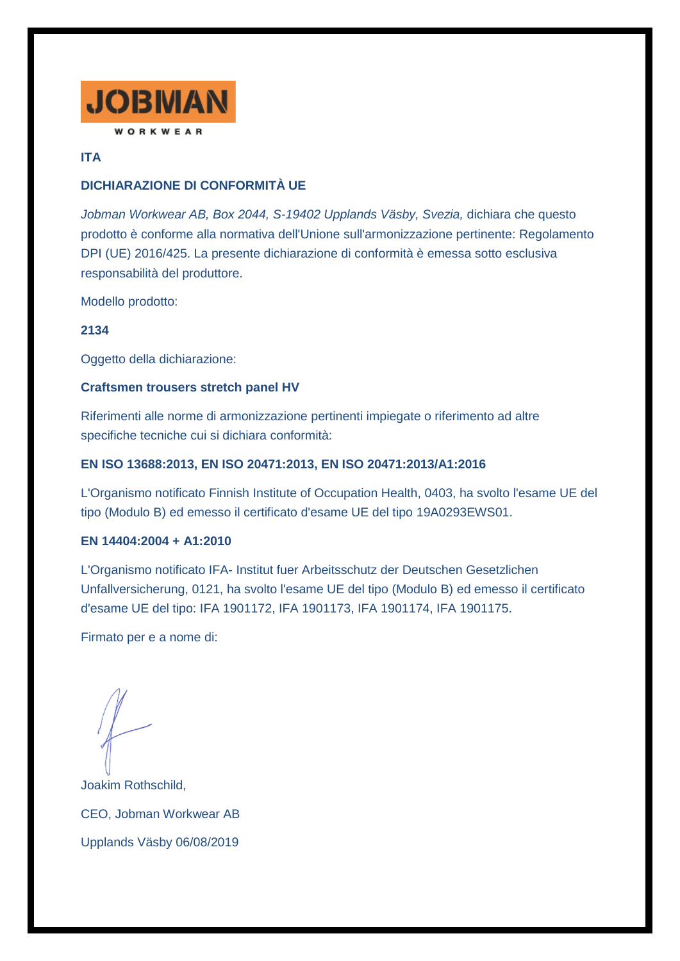

## **ITA**

# **DICHIARAZIONE DI CONFORMITÀ UE**

*Jobman Workwear AB, Box 2044, S-19402 Upplands Väsby, Svezia,* dichiara che questo prodotto è conforme alla normativa dell'Unione sull'armonizzazione pertinente: Regolamento DPI (UE) 2016/425. La presente dichiarazione di conformità è emessa sotto esclusiva responsabilità del produttore.

Modello prodotto:

### **2134**

Oggetto della dichiarazione:

### **Craftsmen trousers stretch panel HV**

Riferimenti alle norme di armonizzazione pertinenti impiegate o riferimento ad altre specifiche tecniche cui si dichiara conformità:

### **EN ISO 13688:2013, EN ISO 20471:2013, EN ISO 20471:2013/A1:2016**

L'Organismo notificato Finnish Institute of Occupation Health, 0403, ha svolto l'esame UE del tipo (Modulo B) ed emesso il certificato d'esame UE del tipo 19A0293EWS01.

#### **EN 14404:2004 + A1:2010**

L'Organismo notificato IFA- Institut fuer Arbeitsschutz der Deutschen Gesetzlichen Unfallversicherung, 0121, ha svolto l'esame UE del tipo (Modulo B) ed emesso il certificato d'esame UE del tipo: IFA 1901172, IFA 1901173, IFA 1901174, IFA 1901175.

Firmato per e a nome di:

Joakim Rothschild, CEO, Jobman Workwear AB Upplands Väsby 06/08/2019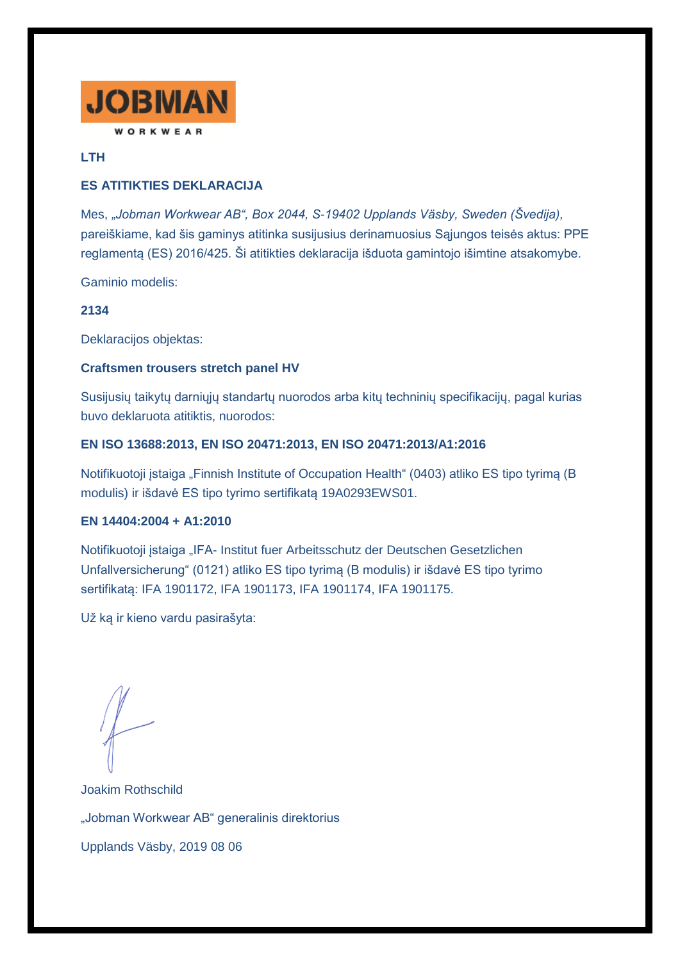

## **LTH**

## **ES ATITIKTIES DEKLARACIJA**

Mes, *"Jobman Workwear AB", Box 2044, S-19402 Upplands Väsby, Sweden (Švedija),* pareiškiame, kad šis gaminys atitinka susijusius derinamuosius Sąjungos teisės aktus: PPE reglamentą (ES) 2016/425. Ši atitikties deklaracija išduota gamintojo išimtine atsakomybe.

Gaminio modelis:

## **2134**

Deklaracijos objektas:

## **Craftsmen trousers stretch panel HV**

Susijusių taikytų darniųjų standartų nuorodos arba kitų techninių specifikacijų, pagal kurias buvo deklaruota atitiktis, nuorodos:

### **EN ISO 13688:2013, EN ISO 20471:2013, EN ISO 20471:2013/A1:2016**

Notifikuotoji įstaiga "Finnish Institute of Occupation Health" (0403) atliko ES tipo tyrimą (B modulis) ir išdavė ES tipo tyrimo sertifikatą 19A0293EWS01.

## **EN 14404:2004 + A1:2010**

Notifikuotoji įstaiga "IFA- Institut fuer Arbeitsschutz der Deutschen Gesetzlichen Unfallversicherung" (0121) atliko ES tipo tyrimą (B modulis) ir išdavė ES tipo tyrimo sertifikatą: IFA 1901172, IFA 1901173, IFA 1901174, IFA 1901175.

Už ką ir kieno vardu pasirašyta:

Joakim Rothschild "Jobman Workwear AB" generalinis direktorius Upplands Väsby, 2019 08 06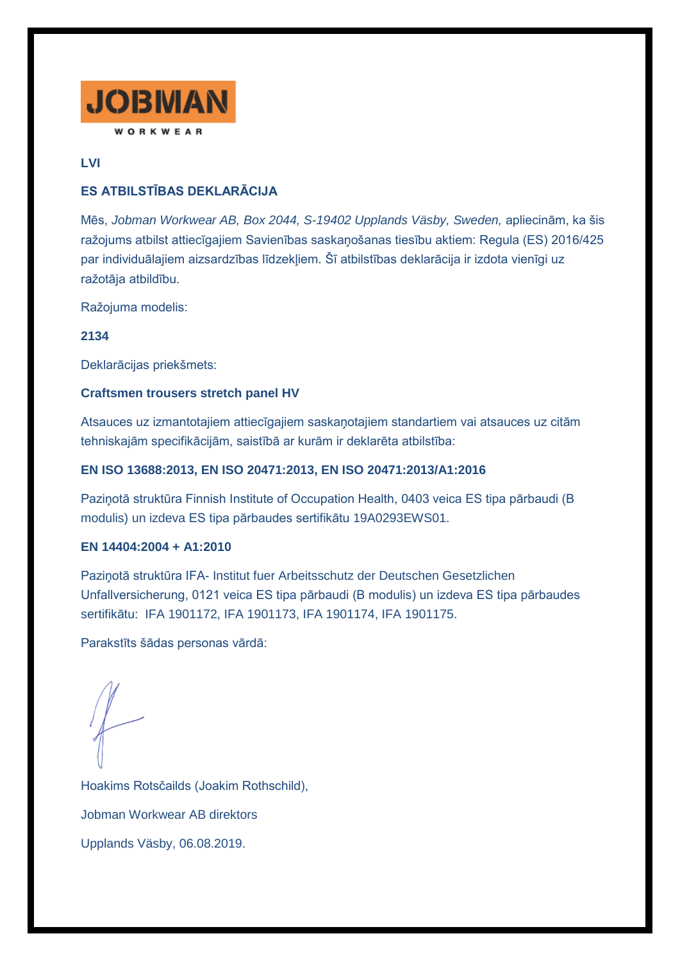

# **LVI**

# **ES ATBILSTĪBAS DEKLARĀCIJA**

Mēs, *Jobman Workwear AB, Box 2044, S-19402 Upplands Väsby, Sweden,* apliecinām, ka šis ražojums atbilst attiecīgajiem Savienības saskaņošanas tiesību aktiem: Regula (ES) 2016/425 par individuālajiem aizsardzības līdzekļiem. Šī atbilstības deklarācija ir izdota vienīgi uz ražotāja atbildību.

Ražojuma modelis:

**2134**

Deklarācijas priekšmets:

## **Craftsmen trousers stretch panel HV**

Atsauces uz izmantotajiem attiecīgajiem saskaņotajiem standartiem vai atsauces uz citām tehniskajām specifikācijām, saistībā ar kurām ir deklarēta atbilstība:

## **EN ISO 13688:2013, EN ISO 20471:2013, EN ISO 20471:2013/A1:2016**

Paziņotā struktūra Finnish Institute of Occupation Health, 0403 veica ES tipa pārbaudi (B modulis) un izdeva ES tipa pārbaudes sertifikātu 19A0293EWS01.

## **EN 14404:2004 + A1:2010**

Paziņotā struktūra IFA- Institut fuer Arbeitsschutz der Deutschen Gesetzlichen Unfallversicherung, 0121 veica ES tipa pārbaudi (B modulis) un izdeva ES tipa pārbaudes sertifikātu: IFA 1901172, IFA 1901173, IFA 1901174, IFA 1901175.

Parakstīts šādas personas vārdā:

Hoakims Rotsčailds (Joakim Rothschild), Jobman Workwear AB direktors Upplands Väsby, 06.08.2019.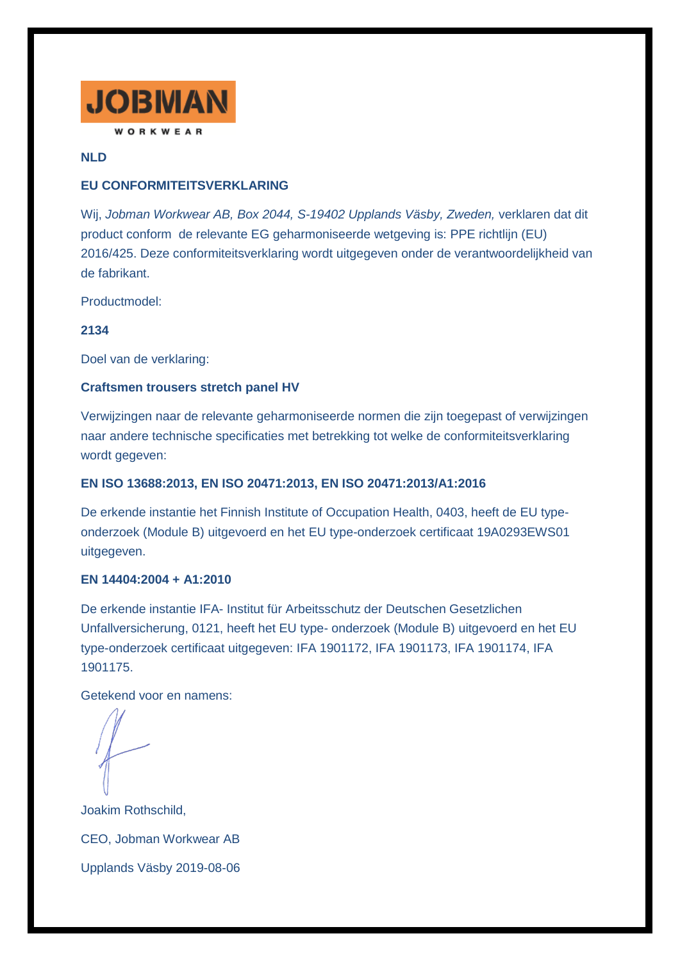

## **NLD**

## **EU CONFORMITEITSVERKLARING**

Wij, *Jobman Workwear AB, Box 2044, S-19402 Upplands Väsby, Zweden,* verklaren dat dit product conform de relevante EG geharmoniseerde wetgeving is: PPE richtlijn (EU) 2016/425. Deze conformiteitsverklaring wordt uitgegeven onder de verantwoordelijkheid van de fabrikant.

Productmodel:

## **2134**

Doel van de verklaring:

### **Craftsmen trousers stretch panel HV**

Verwijzingen naar de relevante geharmoniseerde normen die zijn toegepast of verwijzingen naar andere technische specificaties met betrekking tot welke de conformiteitsverklaring wordt gegeven:

## **EN ISO 13688:2013, EN ISO 20471:2013, EN ISO 20471:2013/A1:2016**

De erkende instantie het Finnish Institute of Occupation Health, 0403, heeft de EU typeonderzoek (Module B) uitgevoerd en het EU type-onderzoek certificaat 19A0293EWS01 uitgegeven.

## **EN 14404:2004 + A1:2010**

De erkende instantie IFA- Institut für Arbeitsschutz der Deutschen Gesetzlichen Unfallversicherung, 0121, heeft het EU type- onderzoek (Module B) uitgevoerd en het EU type-onderzoek certificaat uitgegeven: IFA 1901172, IFA 1901173, IFA 1901174, IFA 1901175.

Getekend voor en namens:

Joakim Rothschild, CEO, Jobman Workwear AB Upplands Väsby 2019-08-06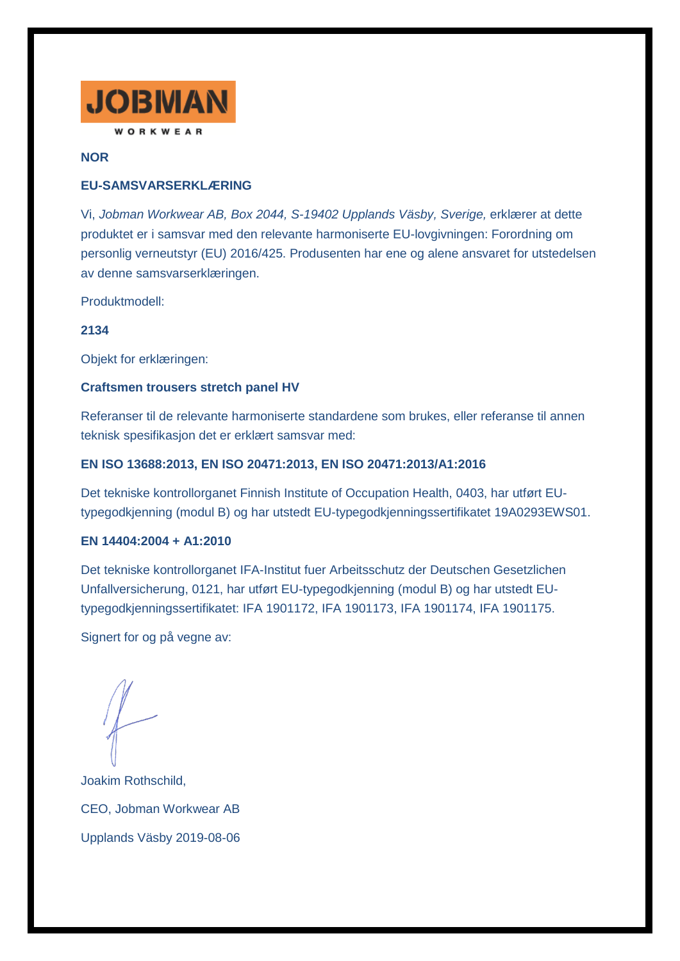

### **NOR**

## **EU-SAMSVARSERKLÆRING**

Vi, *Jobman Workwear AB, Box 2044, S-19402 Upplands Väsby, Sverige,* erklærer at dette produktet er i samsvar med den relevante harmoniserte EU-lovgivningen: Forordning om personlig verneutstyr (EU) 2016/425. Produsenten har ene og alene ansvaret for utstedelsen av denne samsvarserklæringen.

Produktmodell:

### **2134**

Objekt for erklæringen:

### **Craftsmen trousers stretch panel HV**

Referanser til de relevante harmoniserte standardene som brukes, eller referanse til annen teknisk spesifikasjon det er erklært samsvar med:

### **EN ISO 13688:2013, EN ISO 20471:2013, EN ISO 20471:2013/A1:2016**

Det tekniske kontrollorganet Finnish Institute of Occupation Health, 0403, har utført EUtypegodkjenning (modul B) og har utstedt EU-typegodkjenningssertifikatet 19A0293EWS01.

#### **EN 14404:2004 + A1:2010**

Det tekniske kontrollorganet IFA-Institut fuer Arbeitsschutz der Deutschen Gesetzlichen Unfallversicherung, 0121, har utført EU-typegodkjenning (modul B) og har utstedt EUtypegodkjenningssertifikatet: IFA 1901172, IFA 1901173, IFA 1901174, IFA 1901175.

Signert for og på vegne av:

Joakim Rothschild, CEO, Jobman Workwear AB Upplands Väsby 2019-08-06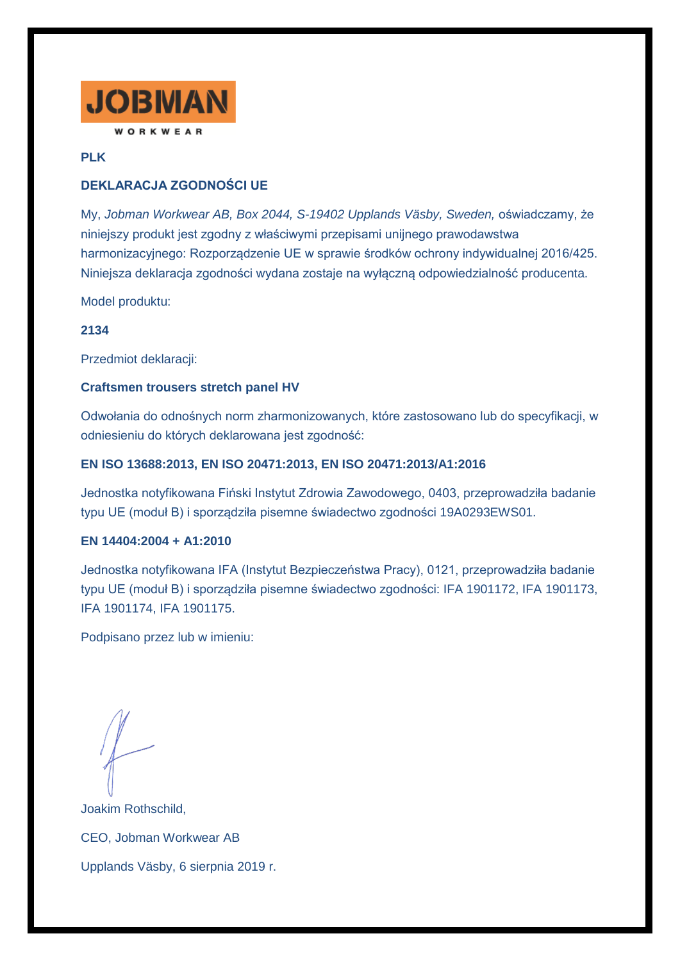

## **PLK**

# **DEKLARACJA ZGODNOŚCI UE**

My, *Jobman Workwear AB, Box 2044, S-19402 Upplands Väsby, Sweden,* oświadczamy, że niniejszy produkt jest zgodny z właściwymi przepisami unijnego prawodawstwa harmonizacyjnego: Rozporządzenie UE w sprawie środków ochrony indywidualnej 2016/425. Niniejsza deklaracja zgodności wydana zostaje na wyłączną odpowiedzialność producenta.

Model produktu:

## **2134**

Przedmiot deklaracji:

### **Craftsmen trousers stretch panel HV**

Odwołania do odnośnych norm zharmonizowanych, które zastosowano lub do specyfikacji, w odniesieniu do których deklarowana jest zgodność:

### **EN ISO 13688:2013, EN ISO 20471:2013, EN ISO 20471:2013/A1:2016**

Jednostka notyfikowana Fiński Instytut Zdrowia Zawodowego, 0403, przeprowadziła badanie typu UE (moduł B) i sporządziła pisemne świadectwo zgodności 19A0293EWS01.

#### **EN 14404:2004 + A1:2010**

Jednostka notyfikowana IFA (Instytut Bezpieczeństwa Pracy), 0121, przeprowadziła badanie typu UE (moduł B) i sporządziła pisemne świadectwo zgodności: IFA 1901172, IFA 1901173, IFA 1901174, IFA 1901175.

Podpisano przez lub w imieniu:

Joakim Rothschild, CEO, Jobman Workwear AB Upplands Väsby, 6 sierpnia 2019 r.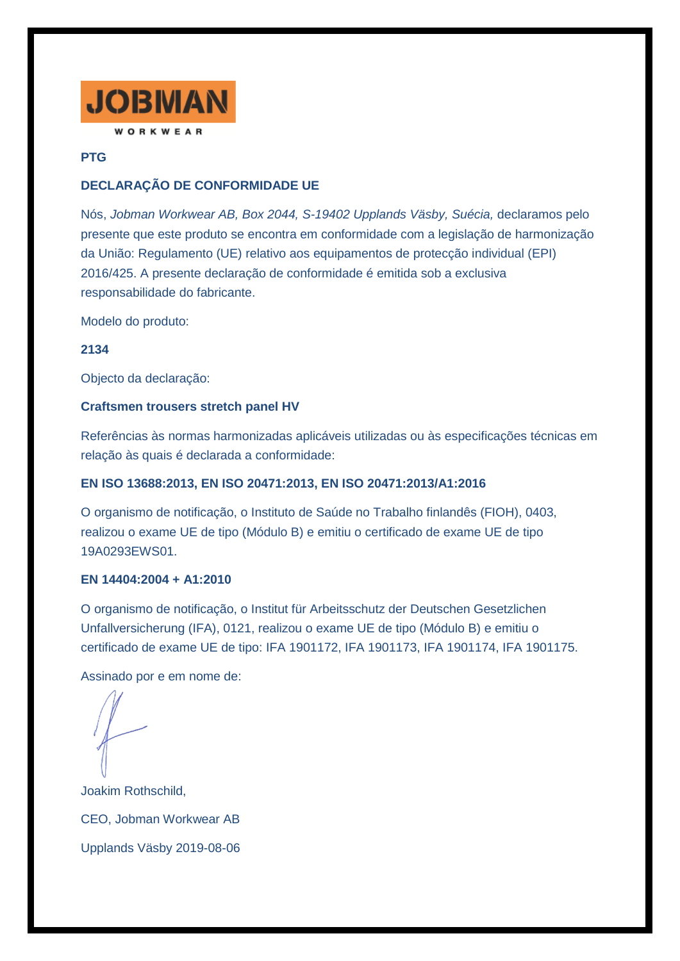

# **PTG**

# **DECLARAÇÃO DE CONFORMIDADE UE**

Nós, *Jobman Workwear AB, Box 2044, S-19402 Upplands Väsby, Suécia,* declaramos pelo presente que este produto se encontra em conformidade com a legislação de harmonização da União: Regulamento (UE) relativo aos equipamentos de protecção individual (EPI) 2016/425. A presente declaração de conformidade é emitida sob a exclusiva responsabilidade do fabricante.

Modelo do produto:

**2134**

Objecto da declaração:

### **Craftsmen trousers stretch panel HV**

Referências às normas harmonizadas aplicáveis utilizadas ou às especificações técnicas em relação às quais é declarada a conformidade:

## **EN ISO 13688:2013, EN ISO 20471:2013, EN ISO 20471:2013/A1:2016**

O organismo de notificação, o Instituto de Saúde no Trabalho finlandês (FIOH), 0403, realizou o exame UE de tipo (Módulo B) e emitiu o certificado de exame UE de tipo 19A0293EWS01.

## **EN 14404:2004 + A1:2010**

O organismo de notificação, o Institut für Arbeitsschutz der Deutschen Gesetzlichen Unfallversicherung (IFA), 0121, realizou o exame UE de tipo (Módulo B) e emitiu o certificado de exame UE de tipo: IFA 1901172, IFA 1901173, IFA 1901174, IFA 1901175.

Assinado por e em nome de:

Joakim Rothschild, CEO, Jobman Workwear AB Upplands Väsby 2019-08-06